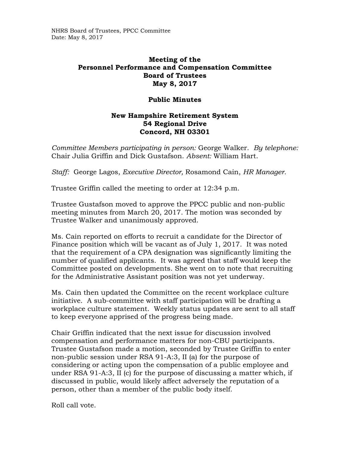NHRS Board of Trustees, PPCC Committee Date: May 8, 2017

## **Meeting of the Personnel Performance and Compensation Committee Board of Trustees May 8, 2017**

## **Public Minutes**

## **New Hampshire Retirement System 54 Regional Drive Concord, NH 03301**

*Committee Members participating in person:* George Walker. *By telephone:* Chair Julia Griffin and Dick Gustafson. *Absent:* William Hart.

*Staff:* George Lagos, *Executive Director,* Rosamond Cain, *HR Manager.* 

Trustee Griffin called the meeting to order at 12:34 p.m.

Trustee Gustafson moved to approve the PPCC public and non-public meeting minutes from March 20, 2017. The motion was seconded by Trustee Walker and unanimously approved.

Ms. Cain reported on efforts to recruit a candidate for the Director of Finance position which will be vacant as of July 1, 2017. It was noted that the requirement of a CPA designation was significantly limiting the number of qualified applicants. It was agreed that staff would keep the Committee posted on developments. She went on to note that recruiting for the Administrative Assistant position was not yet underway.

Ms. Cain then updated the Committee on the recent workplace culture initiative. A sub-committee with staff participation will be drafting a workplace culture statement. Weekly status updates are sent to all staff to keep everyone apprised of the progress being made.

Chair Griffin indicated that the next issue for discussion involved compensation and performance matters for non-CBU participants. Trustee Gustafson made a motion, seconded by Trustee Griffin to enter non-public session under RSA 91-A:3, II (a) for the purpose of considering or acting upon the compensation of a public employee and under RSA 91-A:3, II (c) for the purpose of discussing a matter which, if discussed in public, would likely affect adversely the reputation of a person, other than a member of the public body itself.

Roll call vote.